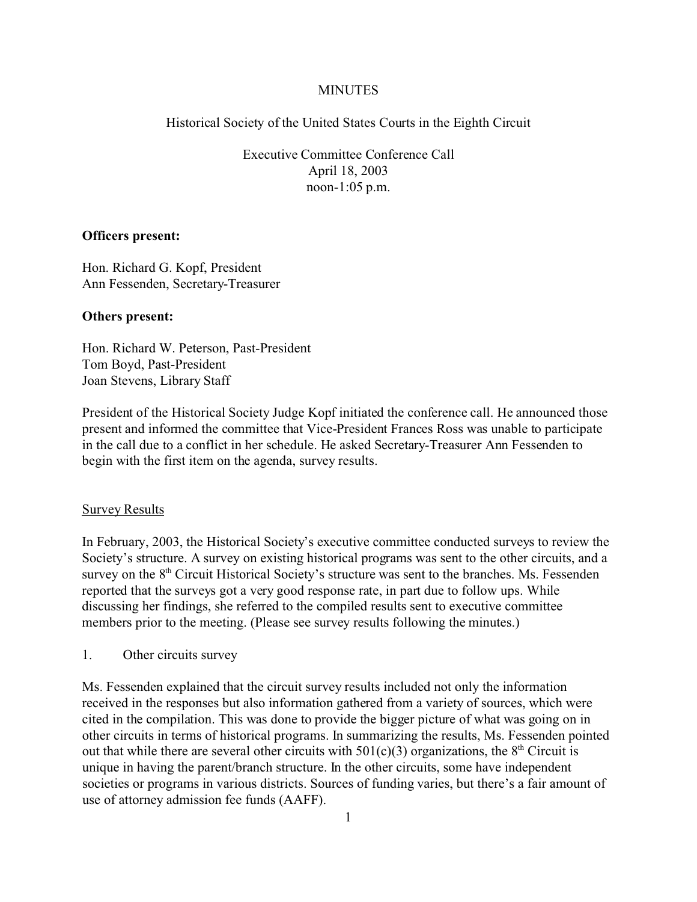#### **MINUTES**

Historical Society of the United States Courts in the Eighth Circuit

Executive Committee Conference Call April 18, 2003 noon-1:05 p.m.

#### **Officers present:**

Hon. Richard G. Kopf, President Ann Fessenden, Secretary-Treasurer

#### **Others present:**

Hon. Richard W. Peterson, Past-President Tom Boyd, Past-President Joan Stevens, Library Staff

President of the Historical Society Judge Kopf initiated the conference call. He announced those present and informed the committee that Vice-President Frances Ross was unable to participate in the call due to a conflict in her schedule. He asked Secretary-Treasurer Ann Fessenden to begin with the first item on the agenda, survey results.

### Survey Results

In February, 2003, the Historical Society's executive committee conducted surveys to review the Society's structure. A survey on existing historical programs was sent to the other circuits, and a survey on the 8<sup>th</sup> Circuit Historical Society's structure was sent to the branches. Ms. Fessenden reported that the surveys got a very good response rate, in part due to follow ups. While discussing her findings, she referred to the compiled results sent to executive committee members prior to the meeting. (Please see survey results following the minutes.)

1. Other circuits survey

Ms. Fessenden explained that the circuit survey results included not only the information received in the responses but also information gathered from a variety of sources, which were cited in the compilation. This was done to provide the bigger picture of what was going on in other circuits in terms of historical programs. In summarizing the results, Ms. Fessenden pointed out that while there are several other circuits with  $501(c)(3)$  organizations, the 8<sup>th</sup> Circuit is unique in having the parent/branch structure. In the other circuits, some have independent societies or programs in various districts. Sources of funding varies, but there's a fair amount of use of attorney admission fee funds (AAFF).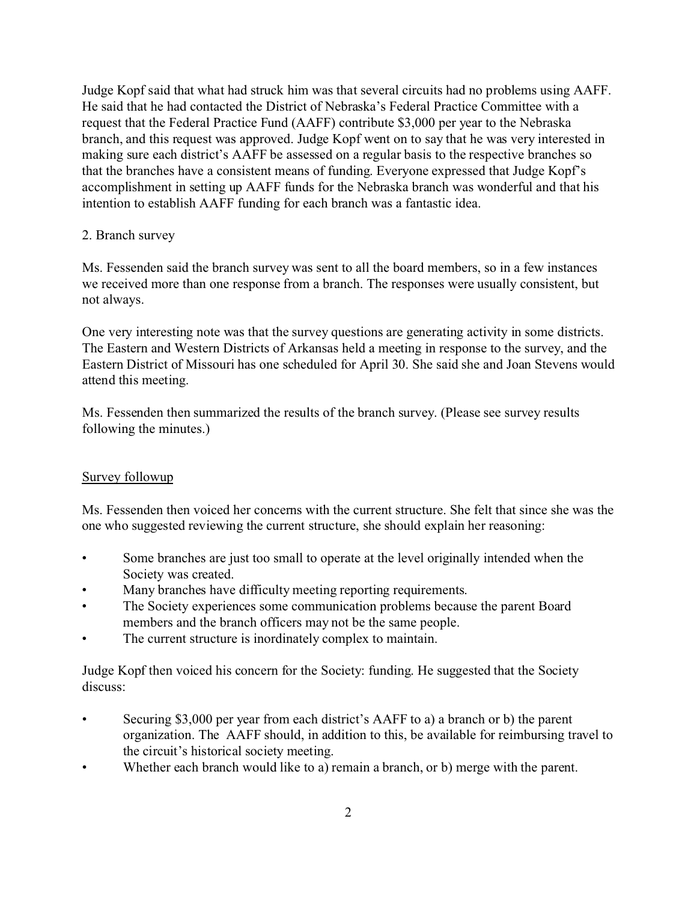Judge Kopf said that what had struck him was that several circuits had no problems using AAFF. He said that he had contacted the District of Nebraska's Federal Practice Committee with a request that the Federal Practice Fund (AAFF) contribute \$3,000 per year to the Nebraska branch, and this request was approved. Judge Kopf went on to say that he was very interested in making sure each district's AAFF be assessed on a regular basis to the respective branches so that the branches have a consistent means of funding. Everyone expressed that Judge Kopf's accomplishment in setting up AAFF funds for the Nebraska branch was wonderful and that his intention to establish AAFF funding for each branch was a fantastic idea.

### 2. Branch survey

Ms. Fessenden said the branch survey was sent to all the board members, so in a few instances we received more than one response from a branch. The responses were usually consistent, but not always.

One very interesting note was that the survey questions are generating activity in some districts. The Eastern and Western Districts of Arkansas held a meeting in response to the survey, and the Eastern District of Missouri has one scheduled for April 30. She said she and Joan Stevens would attend this meeting.

Ms. Fessenden then summarized the results of the branch survey. (Please see survey results following the minutes.)

## Survey followup

Ms. Fessenden then voiced her concerns with the current structure. She felt that since she was the one who suggested reviewing the current structure, she should explain her reasoning:

- Some branches are just too small to operate at the level originally intended when the Society was created.
- Many branches have difficulty meeting reporting requirements.
- The Society experiences some communication problems because the parent Board members and the branch officers may not be the same people.
- The current structure is inordinately complex to maintain.

Judge Kopf then voiced his concern for the Society: funding. He suggested that the Society discuss:

- Securing \$3,000 per year from each district's AAFF to a) a branch or b) the parent organization. The AAFF should, in addition to this, be available for reimbursing travel to the circuit's historical society meeting.
- Whether each branch would like to a) remain a branch, or b) merge with the parent.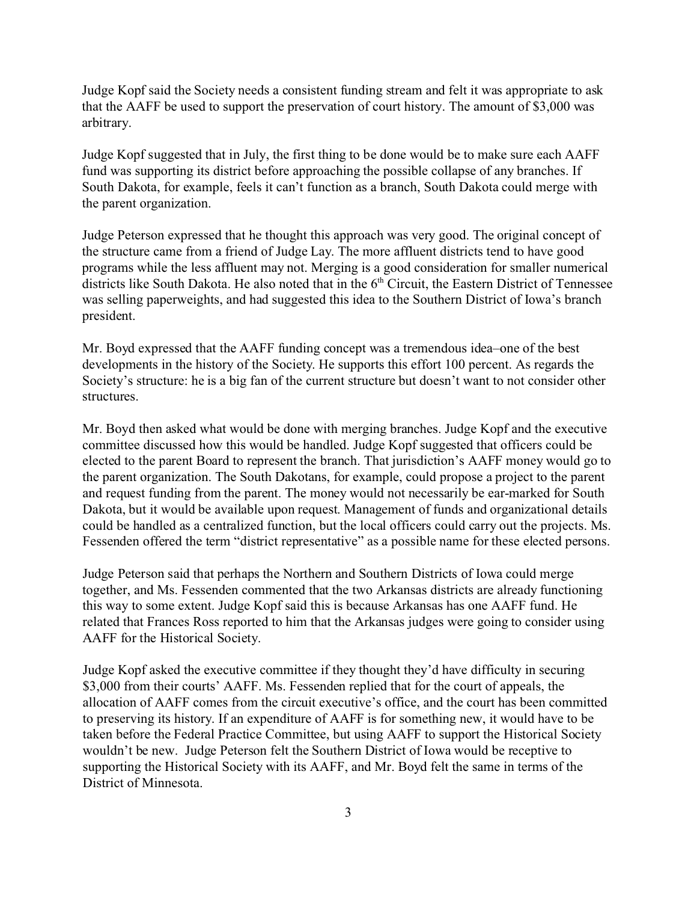Judge Kopf said the Society needs a consistent funding stream and felt it was appropriate to ask that the AAFF be used to support the preservation of court history. The amount of \$3,000 was arbitrary.

Judge Kopf suggested that in July, the first thing to be done would be to make sure each AAFF fund was supporting its district before approaching the possible collapse of any branches. If South Dakota, for example, feels it can't function as a branch, South Dakota could merge with the parent organization.

Judge Peterson expressed that he thought this approach was very good. The original concept of the structure came from a friend of Judge Lay. The more affluent districts tend to have good programs while the less affluent may not. Merging is a good consideration for smaller numerical districts like South Dakota. He also noted that in the 6<sup>th</sup> Circuit, the Eastern District of Tennessee was selling paperweights, and had suggested this idea to the Southern District of Iowa's branch president.

Mr. Boyd expressed that the AAFF funding concept was a tremendous idea–one of the best developments in the history of the Society. He supports this effort 100 percent. As regards the Society's structure: he is a big fan of the current structure but doesn't want to not consider other structures.

Mr. Boyd then asked what would be done with merging branches. Judge Kopf and the executive committee discussed how this would be handled. Judge Kopf suggested that officers could be elected to the parent Board to represent the branch. That jurisdiction's AAFF money would go to the parent organization. The South Dakotans, for example, could propose a project to the parent and request funding from the parent. The money would not necessarily be ear-marked for South Dakota, but it would be available upon request. Management of funds and organizational details could be handled as a centralized function, but the local officers could carry out the projects. Ms. Fessenden offered the term "district representative" as a possible name for these elected persons.

Judge Peterson said that perhaps the Northern and Southern Districts of Iowa could merge together, and Ms. Fessenden commented that the two Arkansas districts are already functioning this way to some extent. Judge Kopf said this is because Arkansas has one AAFF fund. He related that Frances Ross reported to him that the Arkansas judges were going to consider using AAFF for the Historical Society.

Judge Kopf asked the executive committee if they thought they'd have difficulty in securing \$3,000 from their courts' AAFF. Ms. Fessenden replied that for the court of appeals, the allocation of AAFF comes from the circuit executive's office, and the court has been committed to preserving its history. If an expenditure of AAFF is for something new, it would have to be taken before the Federal Practice Committee, but using AAFF to support the Historical Society wouldn't be new. Judge Peterson felt the Southern District of Iowa would be receptive to supporting the Historical Society with its AAFF, and Mr. Boyd felt the same in terms of the District of Minnesota.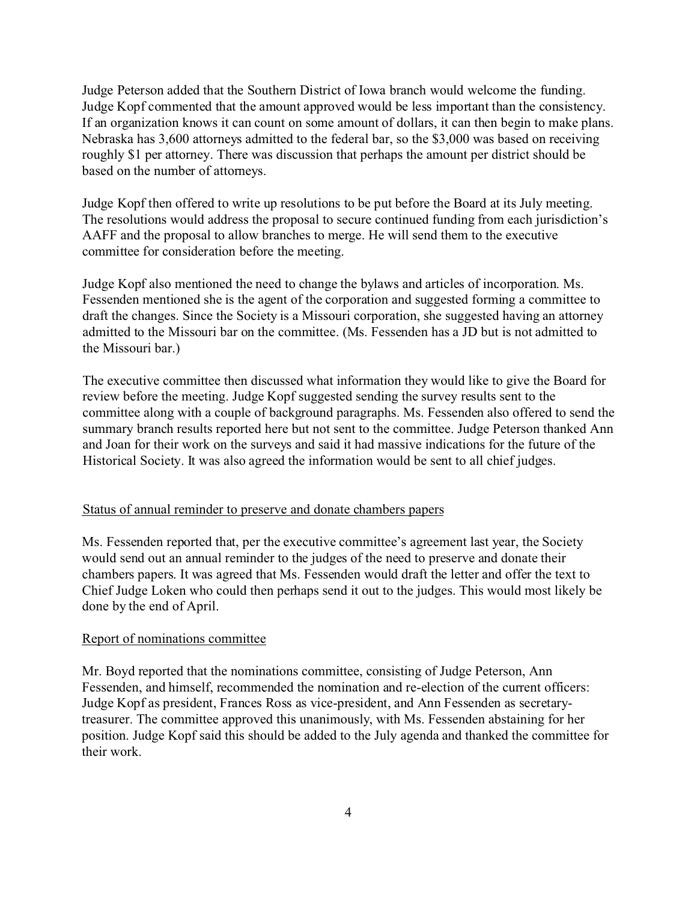Judge Peterson added that the Southern District of Iowa branch would welcome the funding. Judge Kopf commented that the amount approved would be less important than the consistency. If an organization knows it can count on some amount of dollars, it can then begin to make plans. Nebraska has 3,600 attorneys admitted to the federal bar, so the \$3,000 was based on receiving roughly \$1 per attorney. There was discussion that perhaps the amount per district should be based on the number of attorneys.

Judge Kopf then offered to write up resolutions to be put before the Board at its July meeting. The resolutions would address the proposal to secure continued funding from each jurisdiction's AAFF and the proposal to allow branches to merge. He will send them to the executive committee for consideration before the meeting.

Judge Kopf also mentioned the need to change the bylaws and articles of incorporation. Ms. Fessenden mentioned she is the agent of the corporation and suggested forming a committee to draft the changes. Since the Society is a Missouri corporation, she suggested having an attorney admitted to the Missouri bar on the committee. (Ms. Fessenden has a JD but is not admitted to the Missouri bar.)

The executive committee then discussed what information they would like to give the Board for review before the meeting. Judge Kopf suggested sending the survey results sent to the committee along with a couple of background paragraphs. Ms. Fessenden also offered to send the summary branch results reported here but not sent to the committee. Judge Peterson thanked Ann and Joan for their work on the surveys and said it had massive indications for the future of the Historical Society. It was also agreed the information would be sent to all chief judges.

#### Status of annual reminder to preserve and donate chambers papers

Ms. Fessenden reported that, per the executive committee's agreement last year, the Society would send out an annual reminder to the judges of the need to preserve and donate their chambers papers. It was agreed that Ms. Fessenden would draft the letter and offer the text to Chief Judge Loken who could then perhaps send it out to the judges. This would most likely be done by the end of April.

#### Report of nominations committee

Mr. Boyd reported that the nominations committee, consisting of Judge Peterson, Ann Fessenden, and himself, recommended the nomination and re-election of the current officers: Judge Kopf as president, Frances Ross as vice-president, and Ann Fessenden as secretarytreasurer. The committee approved this unanimously, with Ms. Fessenden abstaining for her position. Judge Kopf said this should be added to the July agenda and thanked the committee for their work.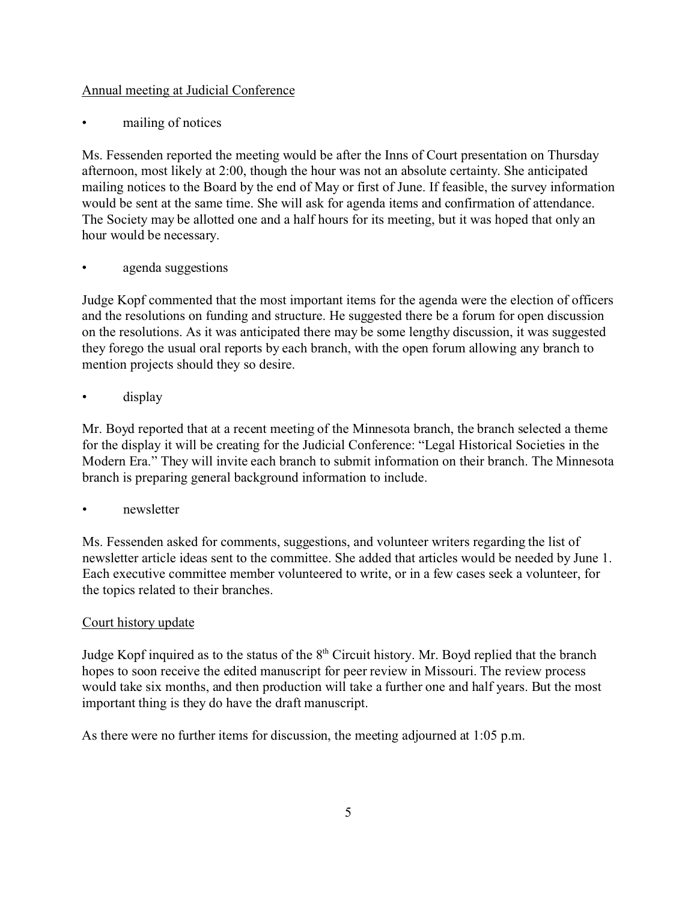### Annual meeting at Judicial Conference

mailing of notices

Ms. Fessenden reported the meeting would be after the Inns of Court presentation on Thursday afternoon, most likely at 2:00, though the hour was not an absolute certainty. She anticipated mailing notices to the Board by the end of May or first of June. If feasible, the survey information would be sent at the same time. She will ask for agenda items and confirmation of attendance. The Society may be allotted one and a half hours for its meeting, but it was hoped that only an hour would be necessary.

agenda suggestions

Judge Kopf commented that the most important items for the agenda were the election of officers and the resolutions on funding and structure. He suggested there be a forum for open discussion on the resolutions. As it was anticipated there may be some lengthy discussion, it was suggested they forego the usual oral reports by each branch, with the open forum allowing any branch to mention projects should they so desire.

• display

Mr. Boyd reported that at a recent meeting of the Minnesota branch, the branch selected a theme for the display it will be creating for the Judicial Conference: "Legal Historical Societies in the Modern Era." They will invite each branch to submit information on their branch. The Minnesota branch is preparing general background information to include.

newsletter

Ms. Fessenden asked for comments, suggestions, and volunteer writers regarding the list of newsletter article ideas sent to the committee. She added that articles would be needed by June 1. Each executive committee member volunteered to write, or in a few cases seek a volunteer, for the topics related to their branches.

## Court history update

Judge Kopf inquired as to the status of the  $8<sup>th</sup>$  Circuit history. Mr. Boyd replied that the branch hopes to soon receive the edited manuscript for peer review in Missouri. The review process would take six months, and then production will take a further one and half years. But the most important thing is they do have the draft manuscript.

As there were no further items for discussion, the meeting adjourned at 1:05 p.m.